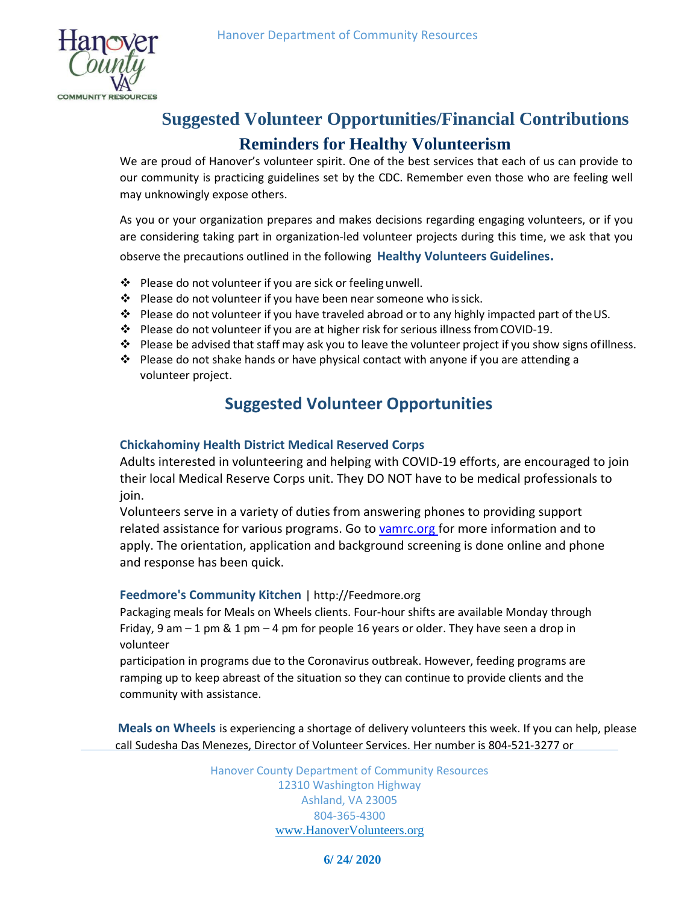

# **Suggested Volunteer Opportunities/Financial Contributions Reminders for Healthy Volunteerism**

We are proud of Hanover's volunteer spirit. One of the best services that each of us can provide to our community is practicing guidelines set by the CDC. Remember even those who are feeling well may unknowingly expose others.

As you or your organization prepares and makes decisions regarding engaging volunteers, or if you are considering taking part in organization-led volunteer projects during this time, we ask that you

observe the precautions outlined in the following **Healthy Volunteers Guidelines.**

- $\cdot \cdot$  Please do not volunteer if you are sick or feeling unwell.
- $\clubsuit$  Please do not volunteer if you have been near someone who is sick.
- \* Please do not volunteer if you have traveled abroad or to any highly impacted part of the US.
- $\cdot \cdot$  Please do not volunteer if you are at higher risk for serious illness from COVID-19.
- Please be advised that staff may ask you to leave the volunteer project if you show signs of illness.
- Please do not shake hands or have physical contact with anyone if you are attending a volunteer project.

## **Suggested Volunteer Opportunities**

### **Chickahominy Health District Medical Reserved Corps**

Adults interested in volunteering and helping with COVID-19 efforts, are encouraged to join their local Medical Reserve Corps unit. They DO NOT have to be medical professionals to join.

Volunteers serve in a variety of duties from answering phones to providing support related assistance for various programs. Go to [vamrc.org f](http://vamrc.org/)or more information and to apply. The orientation, application and background screening is done online and phone and response has been quick.

### **Feedmore's Community Kitchen** | [http://Feedmore.org](http://feedmore.org/)

Packaging meals for Meals on Wheels clients. Four-hour shifts are available Monday through Friday, 9 am  $-1$  pm & 1 pm  $-4$  pm for people 16 years or older. They have seen a drop in volunteer

participation in programs due to the Coronavirus outbreak. However, feeding programs are ramping up to keep abreast of the situation so they can continue to provide clients and the community with assistance.

**Meals on Wheels** is experiencing a shortage of delivery volunteers this week. If you can help, please call Sudesha Das Menezes, Director of Volunteer Services. Her number is 804-521-3277 or

> Hanover County Department of Community Resources 12310 Washington Highway Ashland, VA 23005 804-365-4300 [www.HanoverVolunteers.org](http://www.hanovervolunteers.org/)

### **6/ 24/ 2020**